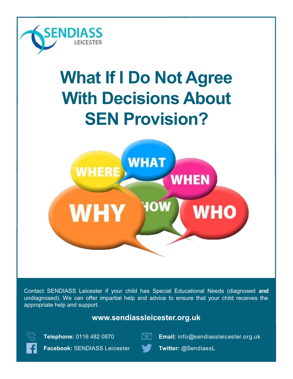

# **What If I Do Not Agree With Decisions About SEN Provision?**



Contact SENDIASS Leicester if your child has Special Educational Needs (diagnosed **and** undiagnosed). We can offer impartial help and advice to ensure that your child receives the appropriate help and support.

# **www.sendiassleicester.org.uk**





**Telephone:** 0116 482 0870 **Email:** info@sendiassleicester.org.uk

**Facebook:** SENDIASS Leicester **Twitter:** @SendiassL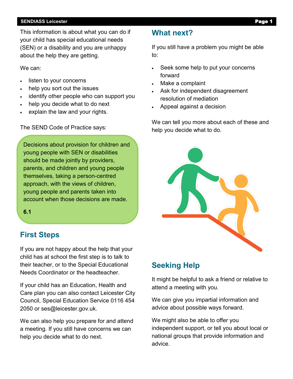#### **SENDIASS Leicester Page**

This information is about what you can do if your child has special educational needs (SEN) or a disability and you are unhappy about the help they are getting.

We can:

- listen to your concerns
- help you sort out the issues
- identify other people who can support you
- help you decide what to do next
- explain the law and your rights.

The SEND Code of Practice says:

Decisions about provision for children and young people with SEN or disabilities should be made jointly by providers, parents, and children and young people themselves, taking a person-centred approach, with the views of children, young people and parents taken into account when those decisions are made.

**6.1**

# **First Steps**

If you are not happy about the help that your child has at school the first step is to talk to their teacher, or to the Special Educational Needs Coordinator or the headteacher.

If your child has an Education, Health and Care plan you can also contact Leicester City Council, Special Education Service 0116 454 2050 or ses@leicester.gov.uk.

We can also help you prepare for and attend a meeting. If you still have concerns we can help you decide what to do next.

## **What next?**

If you still have a problem you might be able to:

- Seek some help to put your concerns forward
- Make a complaint
- Ask for independent disagreement resolution of mediation
- Appeal against a decision

We can tell you more about each of these and help you decide what to do.



## **Seeking Help**

It might be helpful to ask a friend or relative to attend a meeting with you.

We can give you impartial information and advice about possible ways forward.

We might also be able to offer you independent support, or tell you about local or national groups that provide information and advice.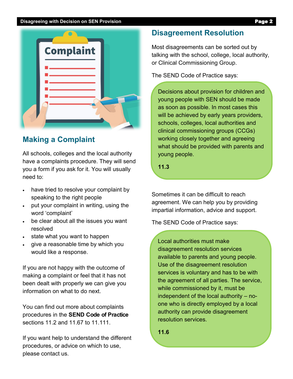#### **Disagreeing with Decision on SEN Provision Page 2**



## **Making a Complaint**

All schools, colleges and the local authority have a complaints procedure. They will send you a form if you ask for it. You will usually need to:

- have tried to resolve your complaint by speaking to the right people
- put your complaint in writing, using the word 'complaint'
- be clear about all the issues you want resolved
- state what you want to happen
- give a reasonable time by which you would like a response.

If you are not happy with the outcome of making a complaint or feel that it has not been dealt with properly we can give you information on what to do next.

You can find out more about complaints procedures in the **SEND Code of Practice**  sections 11.2 and 11.67 to 11.111.

If you want help to understand the different procedures, or advice on which to use, please contact us.

## **Disagreement Resolution**

Most disagreements can be sorted out by talking with the school, college, local authority, or Clinical Commissioning Group.

The SEND Code of Practice says:

Decisions about provision for children and young people with SEN should be made as soon as possible. In most cases this will be achieved by early years providers, schools, colleges, local authorities and clinical commissioning groups (CCGs) working closely together and agreeing what should be provided with parents and young people.

**11.3**

Sometimes it can be difficult to reach agreement. We can help you by providing impartial information, advice and support.

The SEND Code of Practice says:

Local authorities must make disagreement resolution services available to parents and young people. Use of the disagreement resolution services is voluntary and has to be with the agreement of all parties. The service, while commissioned by it, must be independent of the local authority – noone who is directly employed by a local authority can provide disagreement resolution services.

**11.6**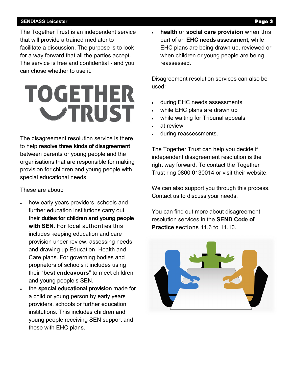#### **SENDIASS Leicester** Page 3

The Together Trust is an independent service that will provide a trained mediator to facilitate a discussion. The purpose is to look for a way forward that all the parties accept. The service is free and confidential - and you can chose whether to use it.

# **TOGETHER VTRUST**

The disagreement resolution service is there to help **resolve three kinds of disagreement**  between parents or young people and the organisations that are responsible for making provision for children and young people with special educational needs.

These are about:

- how early years providers, schools and further education institutions carry out their **duties for children and young people with SEN**. For local authorities this includes keeping education and care provision under review, assessing needs and drawing up Education, Health and Care plans. For governing bodies and proprietors of schools it includes using their "**best endeavours**" to meet children and young people's SEN.
	- the **special educational provision** made for a child or young person by early years providers, schools or further education institutions. This includes children and young people receiving SEN support and those with EHC plans.

 **health** or **social care provision** when this part of an **EHC needs assessment**, while EHC plans are being drawn up, reviewed or when children or young people are being reassessed.

Disagreement resolution services can also be used:

- during EHC needs assessments
- while EHC plans are drawn up
- while waiting for Tribunal appeals
- at review
- during reassessments.

The Together Trust can help you decide if independent disagreement resolution is the right way forward. To contact the Together Trust ring 0800 0130014 or visit their website.

We can also support you through this process. Contact us to discuss your needs.

You can find out more about disagreement resolution services in the **SEND Code of Practice** sections 11.6 to 11.10.

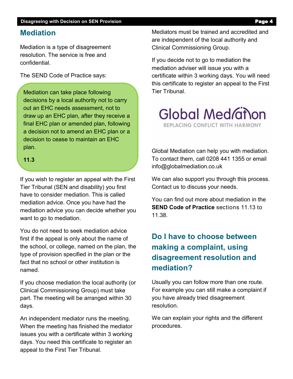### **Mediation**

Mediation is a type of disagreement resolution. The service is free and confidential.

The SEND Code of Practice says:

Mediation can take place following decisions by a local authority not to carry out an EHC needs assessment, not to draw up an EHC plan, after they receive a final EHC plan or amended plan, following a decision not to amend an EHC plan or a decision to cease to maintain an EHC plan.

#### **11.3**

If you wish to register an appeal with the First Tier Tribunal (SEN and disability) you first have to consider mediation. This is called mediation advice. Once you have had the mediation advice you can decide whether you want to go to mediation.

You do not need to seek mediation advice first if the appeal is only about the name of the school, or college, named on the plan, the type of provision specified in the plan or the fact that no school or other institution is named.

If you choose mediation the local authority (or Clinical Commissioning Group) must take part. The meeting will be arranged within 30 days.

An independent mediator runs the meeting. When the meeting has finished the mediator issues you with a certificate within 3 working days. You need this certificate to register an appeal to the First Tier Tribunal.

Mediators must be trained and accredited and are independent of the local authority and Clinical Commissioning Group.

If you decide not to go to mediation the mediation adviser will issue you with a certificate within 3 working days. You will need this certificate to register an appeal to the First Tier Tribunal.



Global Mediation can help you with mediation. To contact them, call 0208 441 1355 or email info@globalmediation.co.uk

We can also support you through this process. Contact us to discuss your needs.

You can find out more about mediation in the **SEND Code of Practice** sections 11.13 to 11.38.

# **Do I have to choose between making a complaint, using disagreement resolution and mediation?**

Usually you can follow more than one route. For example you can still make a complaint if you have already tried disagreement resolution.

We can explain your rights and the different procedures.